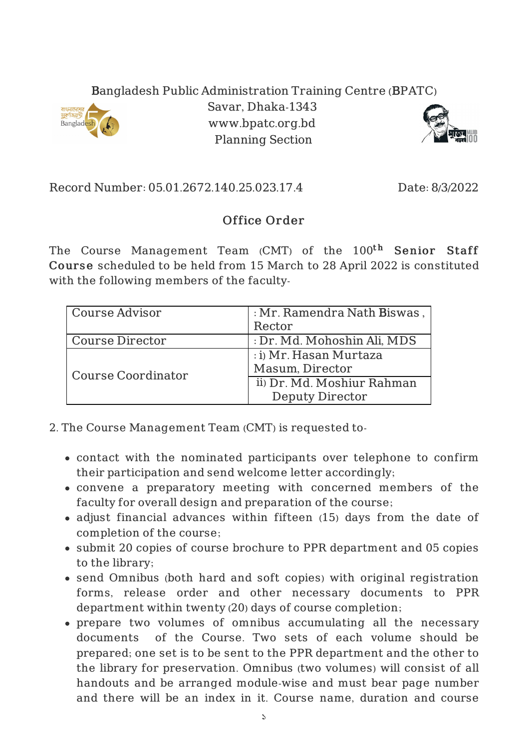## Bangladesh Public Administration Training Centre (BPATC)



Savar, Dhaka-1343 www.bpatc.org.bd Planning Section



Record Number: 05.01.2672.140.25.023.17.4 Date: 8/3/2022

## Office Order

The Course Management Team (CMT) of the 100<sup>th</sup> S**enior Staff** Course scheduled to be held from 15 March to 28 April 2022 is constituted with the following members of the faculty-

| Course Advisor     | : Mr. Ramendra Nath Biswas, |
|--------------------|-----------------------------|
|                    | Rector                      |
| Course Director    | : Dr. Md. Mohoshin Ali, MDS |
| Course Coordinator | : i) Mr. Hasan Murtaza      |
|                    | Masum, Director             |
|                    | ii) Dr. Md. Moshiur Rahman  |
|                    | <b>Deputy Director</b>      |

- 2. The Course Management Team (CMT) is requested to
	- contact with the nominated participants over telephone to confirm their participation and send welcome letter accordingly;
	- convene a preparatory meeting with concerned members of the faculty for overall design and preparation of the course;
	- adjust financial advances within fifteen (15) days from the date of completion of the course;
	- submit 20 copies of course brochure to PPR department and 05 copies to the library;
	- send Omnibus (both hard and soft copies) with original registration forms, release order and other necessary documents to PPR department within twenty (20) days of course completion;
	- prepare two volumes of omnibus accumulating all the necessary documents of the Course. Two sets of each volume should be prepared; one set is to be sent to the PPR department and the other to the library for preservation. Omnibus (two volumes) will consist of all handouts and be arranged module-wise and must bear page number and there will be an index in it. Course name, duration and course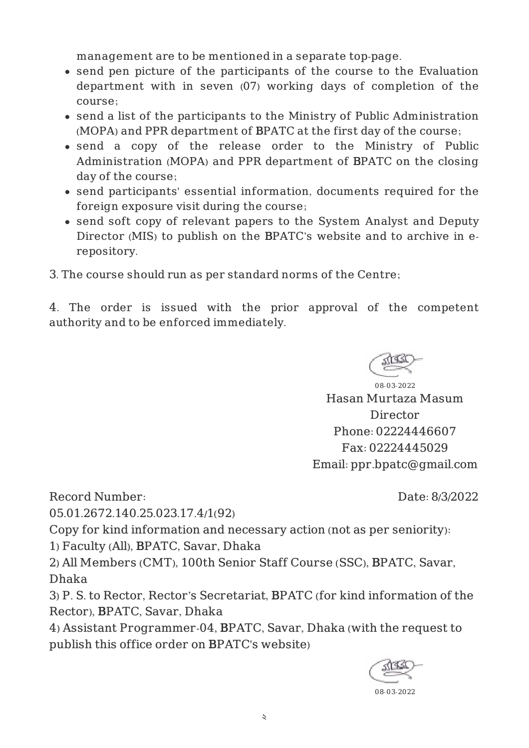management are to be mentioned in a separate top-page.

- send pen picture of the participants of the course to the Evaluation department with in seven (07) working days of completion of the course;
- send a list of the participants to the Ministry of Public Administration (MOPA) and PPR department of BPATC at the first day of the course;
- send a copy of the release order to the Ministry of Public Administration (MOPA) and PPR department of BPATC on the closing day of the course;
- send participants' essential information, documents required for the foreign exposure visit during the course;
- send soft copy of relevant papers to the System Analyst and Deputy Director (MIS) to publish on the BPATC's website and to archive in erepository.
- 3. The course should run as per standard norms of the Centre;

4. The order is issued with the prior approval of the competent authority and to be enforced immediately.



08-03-2022 Hasan Murtaza Masum Director Phone: 02224446607 Fax: 02224445029 Email: ppr.bpatc@gmail.com

Date: 8/3/2022

Record Number:

05.01.2672.140.25.023.17.4/1(92)

Copy for kind information and necessary action (not as per seniority):

1) Faculty (All), BPATC, Savar, Dhaka

2) All Members (CMT), 100th Senior Staff Course (SSC), BPATC, Savar, Dhaka

3) P. S. to Rector, Rector's Secretariat, BPATC (for kind information of the Rector), BPATC, Savar, Dhaka

4) Assistant Programmer-04, BPATC, Savar, Dhaka (with the request to publish this office order on BPATC's website)